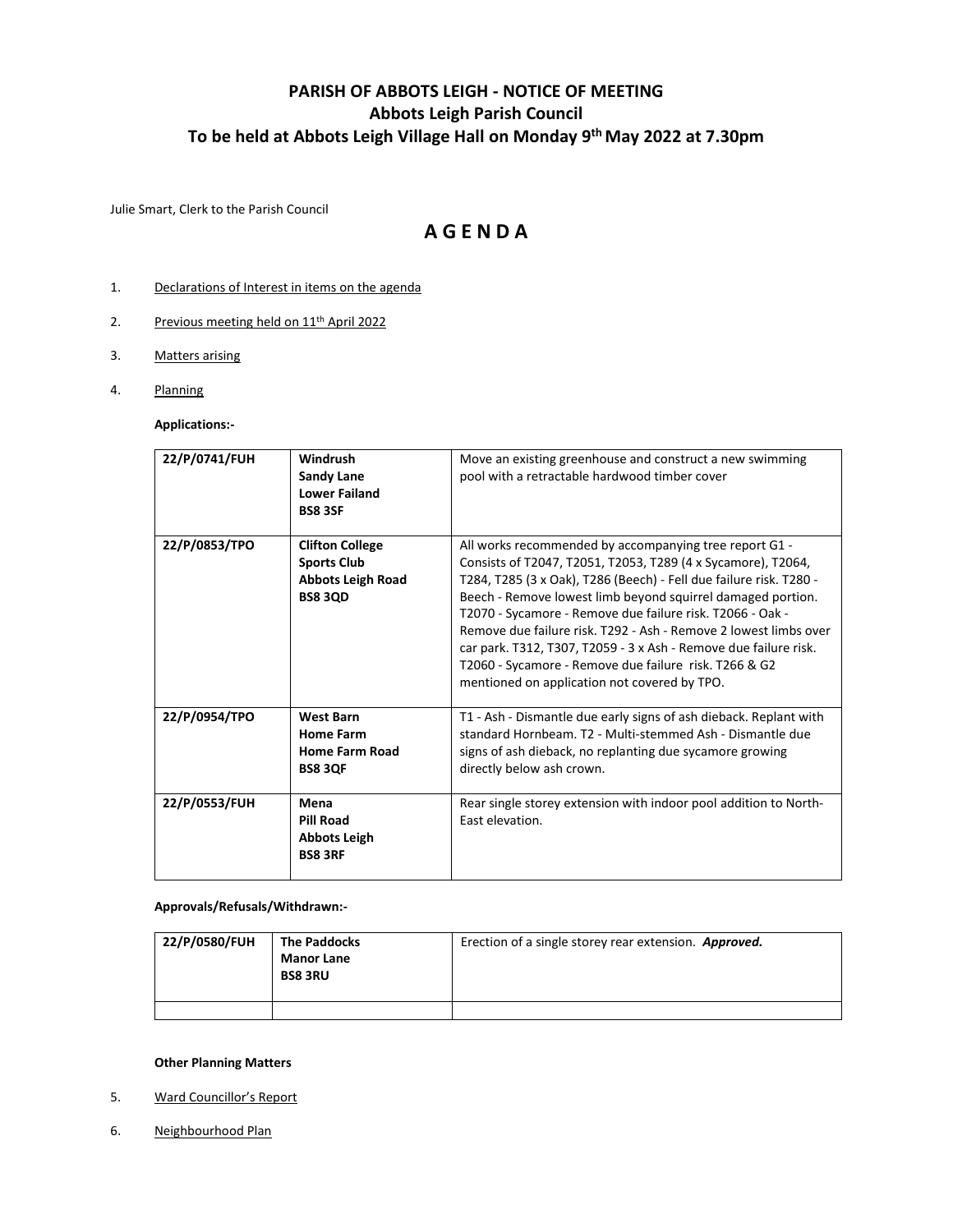## **PARISH OF ABBOTS LEIGH - NOTICE OF MEETING Abbots Leigh Parish Council To be held at Abbots Leigh Village Hall on Monday 9 th May 2022 at 7.30pm**

Julie Smart, Clerk to the Parish Council

## **A G E N D A**

- 1. Declarations of Interest in items on the agenda
- 2. Previous meeting held on 11<sup>th</sup> April 2022
- 3. Matters arising
- 4. Planning

**Applications:-**

| 22/P/0741/FUH | Windrush<br><b>Sandy Lane</b><br><b>Lower Failand</b><br><b>BS8 3SF</b>                    | Move an existing greenhouse and construct a new swimming<br>pool with a retractable hardwood timber cover                                                                                                                                                                                                                                                                                                                                                                                                                                                                 |
|---------------|--------------------------------------------------------------------------------------------|---------------------------------------------------------------------------------------------------------------------------------------------------------------------------------------------------------------------------------------------------------------------------------------------------------------------------------------------------------------------------------------------------------------------------------------------------------------------------------------------------------------------------------------------------------------------------|
| 22/P/0853/TPO | <b>Clifton College</b><br><b>Sports Club</b><br><b>Abbots Leigh Road</b><br><b>BS8 3QD</b> | All works recommended by accompanying tree report G1 -<br>Consists of T2047, T2051, T2053, T289 (4 x Sycamore), T2064,<br>T284, T285 (3 x Oak), T286 (Beech) - Fell due failure risk. T280 -<br>Beech - Remove lowest limb beyond squirrel damaged portion.<br>T2070 - Sycamore - Remove due failure risk. T2066 - Oak -<br>Remove due failure risk. T292 - Ash - Remove 2 lowest limbs over<br>car park. T312, T307, T2059 - 3 x Ash - Remove due failure risk.<br>T2060 - Sycamore - Remove due failure risk. T266 & G2<br>mentioned on application not covered by TPO. |
| 22/P/0954/TPO | <b>West Barn</b><br><b>Home Farm</b><br><b>Home Farm Road</b><br><b>BS8 3QF</b>            | T1 - Ash - Dismantle due early signs of ash dieback. Replant with<br>standard Hornbeam. T2 - Multi-stemmed Ash - Dismantle due<br>signs of ash dieback, no replanting due sycamore growing<br>directly below ash crown.                                                                                                                                                                                                                                                                                                                                                   |
| 22/P/0553/FUH | Mena<br><b>Pill Road</b><br><b>Abbots Leigh</b><br><b>BS8 3RF</b>                          | Rear single storey extension with indoor pool addition to North-<br>East elevation.                                                                                                                                                                                                                                                                                                                                                                                                                                                                                       |

**Approvals/Refusals/Withdrawn:-**

| 22/P/0580/FUH | <b>The Paddocks</b><br><b>Manor Lane</b><br><b>BS8 3RU</b> | Erection of a single storey rear extension. Approved. |
|---------------|------------------------------------------------------------|-------------------------------------------------------|
|               |                                                            |                                                       |

## **Other Planning Matters**

- 5. Ward Councillor's Report
- 6. Neighbourhood Plan